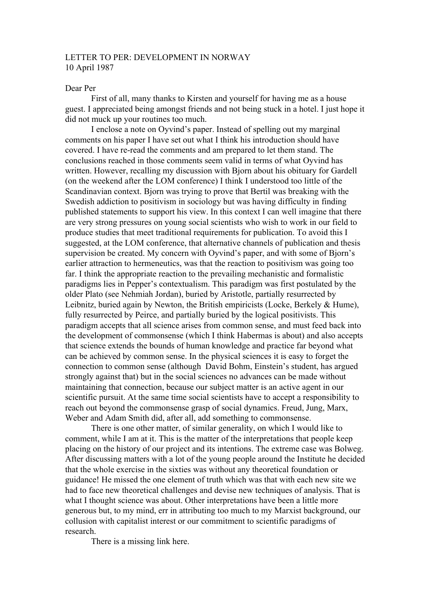## LETTER TO PER: DEVELOPMENT IN NORWAY 10 April 1987

## Dear Per

First of all, many thanks to Kirsten and yourself for having me as a house guest. I appreciated being amongst friends and not being stuck in a hotel. I just hope it did not muck up your routines too much.

I enclose a note on Oyvind's paper. Instead of spelling out my marginal comments on his paper I have set out what I think his introduction should have covered. I have re-read the comments and am prepared to let them stand. The conclusions reached in those comments seem valid in terms of what Oyvind has written. However, recalling my discussion with Bjorn about his obituary for Gardell (on the weekend after the LOM conference) I think I understood too little of the Scandinavian context. Bjorn was trying to prove that Bertil was breaking with the Swedish addiction to positivism in sociology but was having difficulty in finding published statements to support his view. In this context I can well imagine that there are very strong pressures on young social scientists who wish to work in our field to produce studies that meet traditional requirements for publication. To avoid this I suggested, at the LOM conference, that alternative channels of publication and thesis supervision be created. My concern with Oyvind's paper, and with some of Bjorn's earlier attraction to hermeneutics, was that the reaction to positivism was going too far. I think the appropriate reaction to the prevailing mechanistic and formalistic paradigms lies in Pepper's contextualism. This paradigm was first postulated by the older Plato (see Nehmiah Jordan), buried by Aristotle, partially resurrected by Leibnitz, buried again by Newton, the British empiricists (Locke, Berkely & Hume), fully resurrected by Peirce, and partially buried by the logical positivists. This paradigm accepts that all science arises from common sense, and must feed back into the development of commonsense (which I think Habermas is about) and also accepts that science extends the bounds of human knowledge and practice far beyond what can be achieved by common sense. In the physical sciences it is easy to forget the connection to common sense (although David Bohm, Einstein's student, has argued strongly against that) but in the social sciences no advances can be made without maintaining that connection, because our subject matter is an active agent in our scientific pursuit. At the same time social scientists have to accept a responsibility to reach out beyond the commonsense grasp of social dynamics. Freud, Jung, Marx, Weber and Adam Smith did, after all, add something to commonsense.

There is one other matter, of similar generality, on which I would like to comment, while I am at it. This is the matter of the interpretations that people keep placing on the history of our project and its intentions. The extreme case was Bolweg. After discussing matters with a lot of the young people around the Institute he decided that the whole exercise in the sixties was without any theoretical foundation or guidance! He missed the one element of truth which was that with each new site we had to face new theoretical challenges and devise new techniques of analysis. That is what I thought science was about. Other interpretations have been a little more generous but, to my mind, err in attributing too much to my Marxist background, our collusion with capitalist interest or our commitment to scientific paradigms of research.

There is a missing link here.